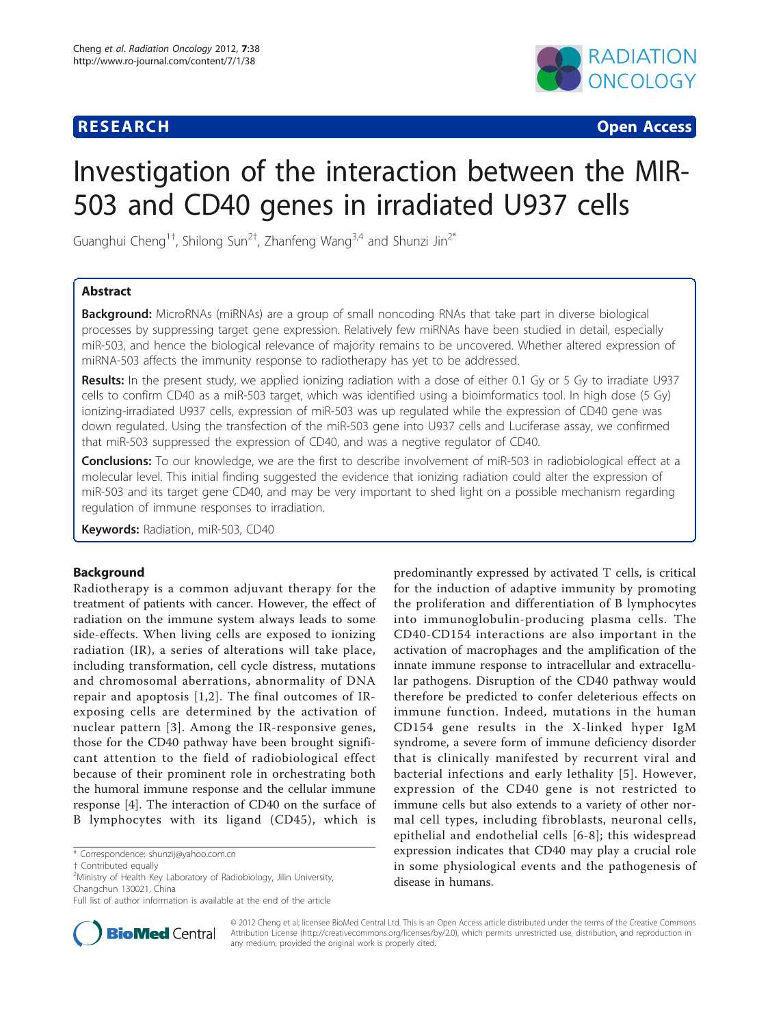# **RESEARCH CONSTRUCTION CONSTRUCTS**



# Investigation of the interaction between the MIR-503 and CD40 genes in irradiated U937 cells

Guanghui Cheng<sup>1†</sup>, Shilong Sun<sup>2†</sup>, Zhanfeng Wang<sup>3,4</sup> and Shunzi Jin<sup>2\*</sup>

# Abstract

**Background:** MicroRNAs (miRNAs) are a group of small noncoding RNAs that take part in diverse biological processes by suppressing target gene expression. Relatively few miRNAs have been studied in detail, especially miR-503, and hence the biological relevance of majority remains to be uncovered. Whether altered expression of miRNA-503 affects the immunity response to radiotherapy has yet to be addressed.

Results: In the present study, we applied ionizing radiation with a dose of either 0.1 Gy or 5 Gy to irradiate U937 cells to confirm CD40 as a miR-503 target, which was identified using a bioimformatics tool. In high dose (5 Gy) ionizing-irradiated U937 cells, expression of miR-503 was up regulated while the expression of CD40 gene was down regulated. Using the transfection of the miR-503 gene into U937 cells and Luciferase assay, we confirmed that miR-503 suppressed the expression of CD40, and was a negtive regulator of CD40.

**Conclusions:** To our knowledge, we are the first to describe involvement of miR-503 in radiobiological effect at a molecular level. This initial finding suggested the evidence that ionizing radiation could alter the expression of miR-503 and its target gene CD40, and may be very important to shed light on a possible mechanism regarding regulation of immune responses to irradiation.

Keywords: Radiation, miR-503, CD40

# Background

Radiotherapy is a common adjuvant therapy for the treatment of patients with cancer. However, the effect of radiation on the immune system always leads to some side-effects. When living cells are exposed to ionizing radiation (IR), a series of alterations will take place, including transformation, cell cycle distress, mutations and chromosomal aberrations, abnormality of DNA repair and apoptosis [[1,2](#page-5-0)]. The final outcomes of IRexposing cells are determined by the activation of nuclear pattern [[3](#page-5-0)]. Among the IR-responsive genes, those for the CD40 pathway have been brought significant attention to the field of radiobiological effect because of their prominent role in orchestrating both the humoral immune response and the cellular immune response [\[4](#page-5-0)]. The interaction of CD40 on the surface of B lymphocytes with its ligand (CD45), which is

\* Correspondence: [shunzij@yahoo.com.cn](mailto:shunzij@yahoo.com.cn)

predominantly expressed by activated T cells, is critical for the induction of adaptive immunity by promoting the proliferation and differentiation of B lymphocytes into immunoglobulin-producing plasma cells. The CD40-CD154 interactions are also important in the activation of macrophages and the amplification of the innate immune response to intracellular and extracellular pathogens. Disruption of the CD40 pathway would therefore be predicted to confer deleterious effects on immune function. Indeed, mutations in the human CD154 gene results in the X-linked hyper IgM syndrome, a severe form of immune deficiency disorder that is clinically manifested by recurrent viral and bacterial infections and early lethality [[5](#page-5-0)]. However, expression of the CD40 gene is not restricted to immune cells but also extends to a variety of other normal cell types, including fibroblasts, neuronal cells, epithelial and endothelial cells [[6-8\]](#page-5-0); this widespread expression indicates that CD40 may play a crucial role in some physiological events and the pathogenesis of disease in humans.



© 2012 Cheng et al; licensee BioMed Central Ltd. This is an Open Access article distributed under the terms of the Creative Commons Attribution License [\(http://creativecommons.org/licenses/by/2.0](http://creativecommons.org/licenses/by/2.0)), which permits unrestricted use, distribution, and reproduction in any medium, provided the original work is properly cited.

<sup>†</sup> Contributed equally <sup>2</sup>

Ministry of Health Key Laboratory of Radiobiology, Jilin University, Changchun 130021, China

Full list of author information is available at the end of the article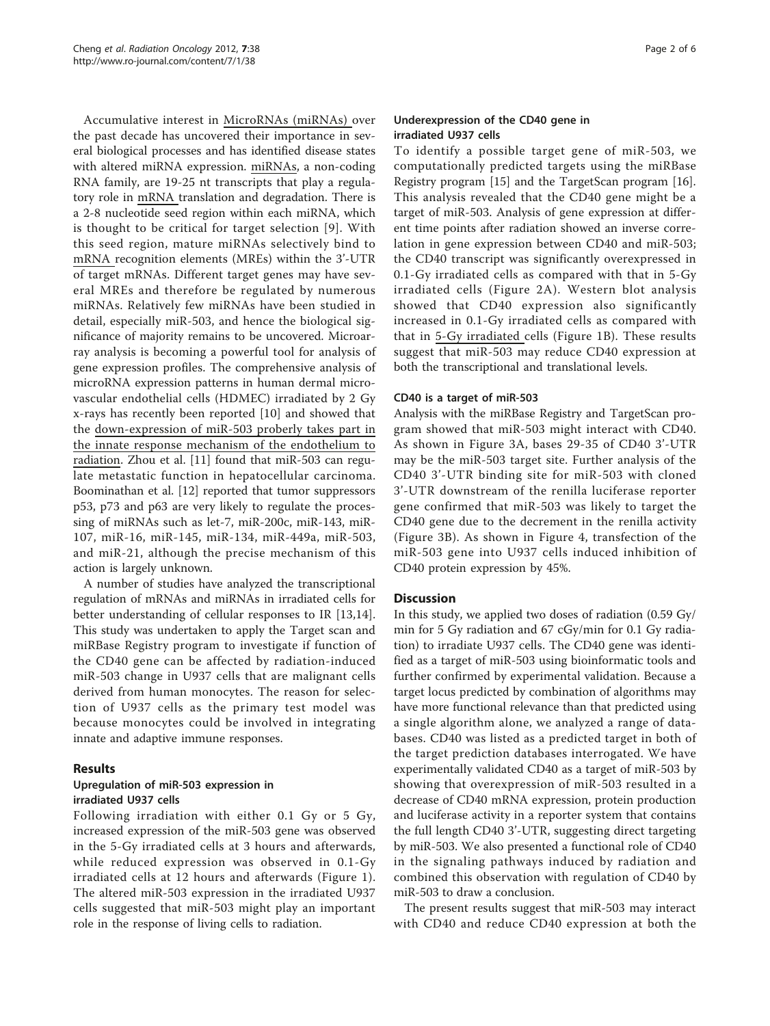Accumulative interest in MicroRNAs (miRNAs) over the past decade has uncovered their importance in several biological processes and has identified disease states with altered miRNA expression. miRNAs, a non-coding RNA family, are 19-25 nt transcripts that play a regulatory role in mRNA translation and degradation. There is a 2-8 nucleotide seed region within each miRNA, which is thought to be critical for target selection [[9](#page-5-0)]. With this seed region, mature miRNAs selectively bind to mRNA recognition elements (MREs) within the 3'-UTR of target mRNAs. Different target genes may have several MREs and therefore be regulated by numerous miRNAs. Relatively few miRNAs have been studied in detail, especially miR-503, and hence the biological significance of majority remains to be uncovered. Microarray analysis is becoming a powerful tool for analysis of gene expression profiles. The comprehensive analysis of microRNA expression patterns in human dermal microvascular endothelial cells (HDMEC) irradiated by 2 Gy x-rays has recently been reported [\[10](#page-5-0)] and showed that the down-expression of miR-503 proberly takes part in the innate response mechanism of the endothelium to radiation. Zhou et al. [\[11\]](#page-5-0) found that miR-503 can regulate metastatic function in hepatocellular carcinoma. Boominathan et al. [[12\]](#page-5-0) reported that tumor suppressors p53, p73 and p63 are very likely to regulate the processing of miRNAs such as let-7, miR-200c, miR-143, miR-107, miR-16, miR-145, miR-134, miR-449a, miR-503, and miR-21, although the precise mechanism of this action is largely unknown.

A number of studies have analyzed the transcriptional regulation of mRNAs and miRNAs in irradiated cells for better understanding of cellular responses to IR [\[13,14](#page-5-0)]. This study was undertaken to apply the Target scan and miRBase Registry program to investigate if function of the CD40 gene can be affected by radiation-induced miR-503 change in U937 cells that are malignant cells derived from human monocytes. The reason for selection of U937 cells as the primary test model was because monocytes could be involved in integrating innate and adaptive immune responses.

# Results

# Upregulation of miR-503 expression in irradiated U937 cells

Following irradiation with either 0.1 Gy or 5 Gy, increased expression of the miR-503 gene was observed in the 5-Gy irradiated cells at 3 hours and afterwards, while reduced expression was observed in 0.1-Gy irradiated cells at 12 hours and afterwards (Figure [1\)](#page-2-0). The altered miR-503 expression in the irradiated U937 cells suggested that miR-503 might play an important role in the response of living cells to radiation.

# Underexpression of the CD40 gene in irradiated U937 cells

To identify a possible target gene of miR-503, we computationally predicted targets using the miRBase Registry program [\[15\]](#page-5-0) and the TargetScan program [[16](#page-5-0)]. This analysis revealed that the CD40 gene might be a target of miR-503. Analysis of gene expression at different time points after radiation showed an inverse correlation in gene expression between CD40 and miR-503; the CD40 transcript was significantly overexpressed in 0.1-Gy irradiated cells as compared with that in 5-Gy irradiated cells (Figure [2A\)](#page-2-0). Western blot analysis showed that CD40 expression also significantly increased in 0.1-Gy irradiated cells as compared with that in 5-Gy irradiated cells (Figure [1B\)](#page-2-0). These results suggest that miR-503 may reduce CD40 expression at both the transcriptional and translational levels.

### CD40 is a target of miR-503

Analysis with the miRBase Registry and TargetScan program showed that miR-503 might interact with CD40. As shown in Figure [3A](#page-3-0), bases 29-35 of CD40 3'-UTR may be the miR-503 target site. Further analysis of the CD40 3'-UTR binding site for miR-503 with cloned 3'-UTR downstream of the renilla luciferase reporter gene confirmed that miR-503 was likely to target the CD40 gene due to the decrement in the renilla activity (Figure [3B\)](#page-3-0). As shown in Figure [4,](#page-3-0) transfection of the miR-503 gene into U937 cells induced inhibition of CD40 protein expression by 45%.

# **Discussion**

In this study, we applied two doses of radiation (0.59 Gy/ min for 5 Gy radiation and 67 cGy/min for 0.1 Gy radiation) to irradiate U937 cells. The CD40 gene was identified as a target of miR-503 using bioinformatic tools and further confirmed by experimental validation. Because a target locus predicted by combination of algorithms may have more functional relevance than that predicted using a single algorithm alone, we analyzed a range of databases. CD40 was listed as a predicted target in both of the target prediction databases interrogated. We have experimentally validated CD40 as a target of miR-503 by showing that overexpression of miR-503 resulted in a decrease of CD40 mRNA expression, protein production and luciferase activity in a reporter system that contains the full length CD40 3'-UTR, suggesting direct targeting by miR-503. We also presented a functional role of CD40 in the signaling pathways induced by radiation and combined this observation with regulation of CD40 by miR-503 to draw a conclusion.

The present results suggest that miR-503 may interact with CD40 and reduce CD40 expression at both the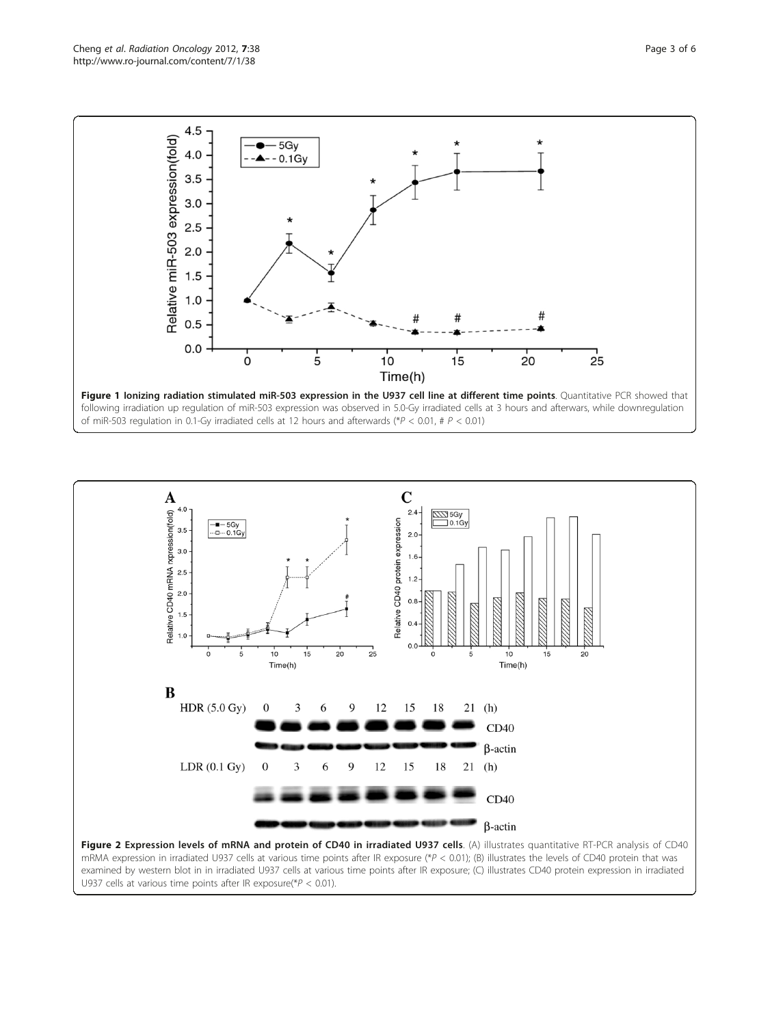<span id="page-2-0"></span>





mRMA expression in irradiated U937 cells at various time points after IR exposure (\*P < 0.01); (B) illustrates the levels of CD40 protein that was examined by western blot in in irradiated U937 cells at various time points after IR exposure; (C) illustrates CD40 protein expression in irradiated U937 cells at various time points after IR exposure( $P < 0.01$ ).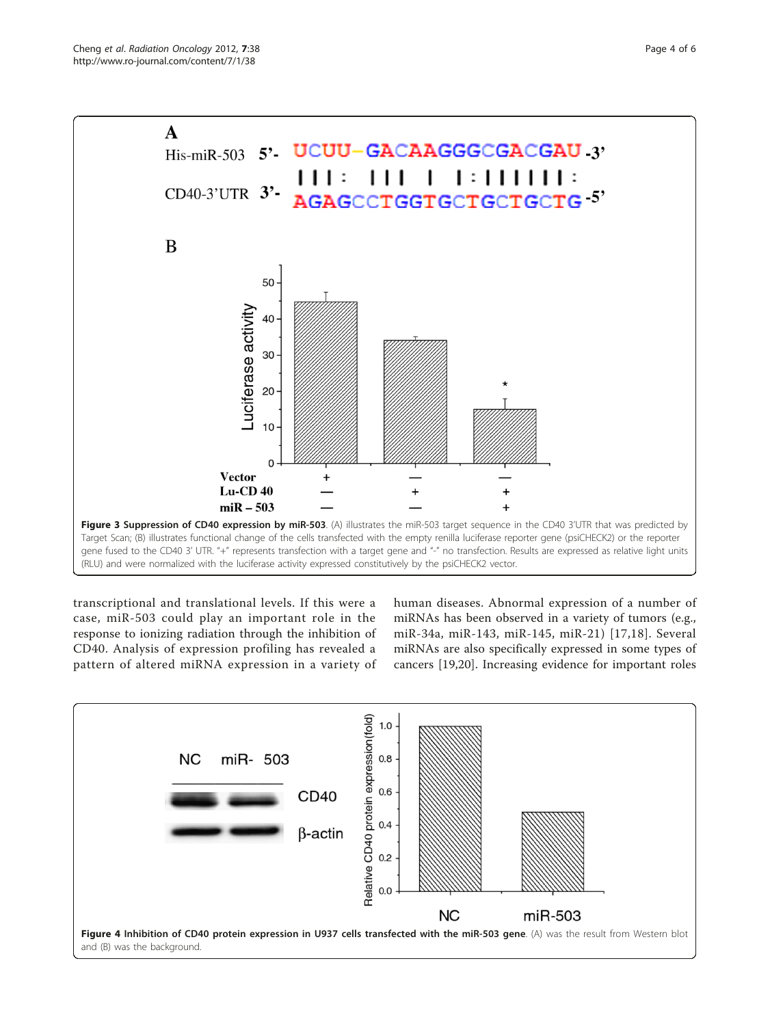<span id="page-3-0"></span>



transcriptional and translational levels. If this were a case, miR-503 could play an important role in the response to ionizing radiation through the inhibition of CD40. Analysis of expression profiling has revealed a pattern of altered miRNA expression in a variety of human diseases. Abnormal expression of a number of miRNAs has been observed in a variety of tumors (e.g., miR-34a, miR-143, miR-145, miR-21) [\[17,18\]](#page-5-0). Several miRNAs are also specifically expressed in some types of cancers [\[19](#page-5-0),[20](#page-5-0)]. Increasing evidence for important roles

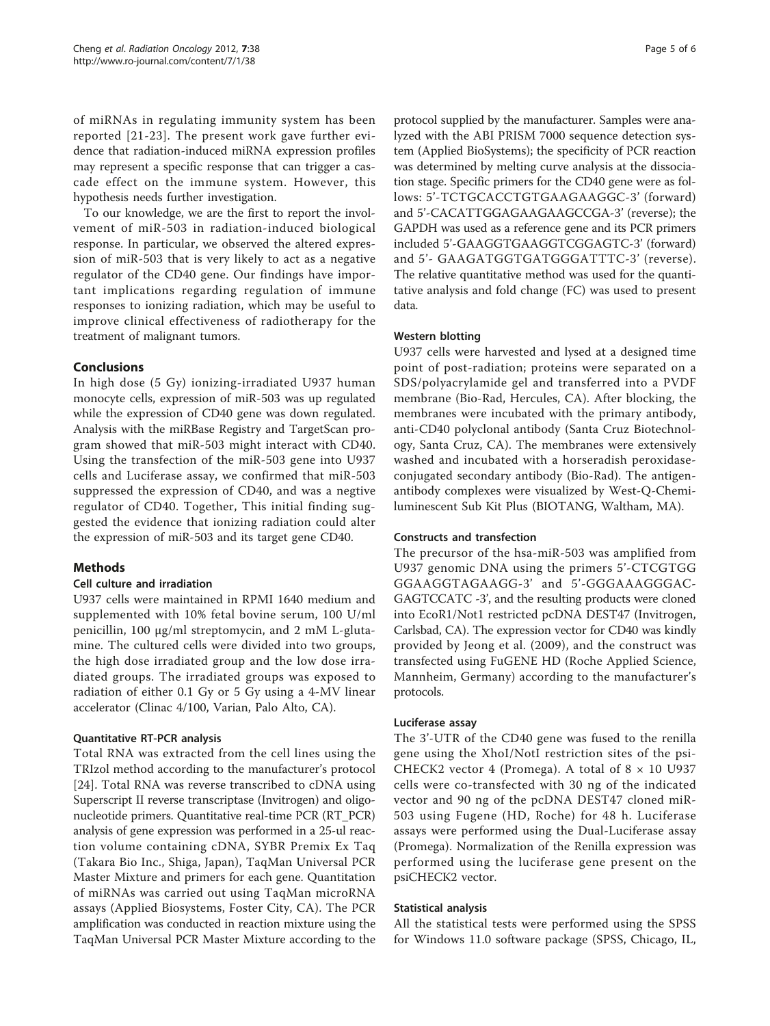of miRNAs in regulating immunity system has been reported [[21-23](#page-5-0)]. The present work gave further evidence that radiation-induced miRNA expression profiles may represent a specific response that can trigger a cascade effect on the immune system. However, this hypothesis needs further investigation.

To our knowledge, we are the first to report the involvement of miR-503 in radiation-induced biological response. In particular, we observed the altered expression of miR-503 that is very likely to act as a negative regulator of the CD40 gene. Our findings have important implications regarding regulation of immune responses to ionizing radiation, which may be useful to improve clinical effectiveness of radiotherapy for the treatment of malignant tumors.

# Conclusions

In high dose (5 Gy) ionizing-irradiated U937 human monocyte cells, expression of miR-503 was up regulated while the expression of CD40 gene was down regulated. Analysis with the miRBase Registry and TargetScan program showed that miR-503 might interact with CD40. Using the transfection of the miR-503 gene into U937 cells and Luciferase assay, we confirmed that miR-503 suppressed the expression of CD40, and was a negtive regulator of CD40. Together, This initial finding suggested the evidence that ionizing radiation could alter the expression of miR-503 and its target gene CD40.

#### Methods

#### Cell culture and irradiation

U937 cells were maintained in RPMI 1640 medium and supplemented with 10% fetal bovine serum, 100 U/ml penicillin, 100 μg/ml streptomycin, and 2 mM L-glutamine. The cultured cells were divided into two groups, the high dose irradiated group and the low dose irradiated groups. The irradiated groups was exposed to radiation of either 0.1 Gy or 5 Gy using a 4-MV linear accelerator (Clinac 4/100, Varian, Palo Alto, CA).

#### Quantitative RT-PCR analysis

Total RNA was extracted from the cell lines using the TRIzol method according to the manufacturer's protocol [[24\]](#page-5-0). Total RNA was reverse transcribed to cDNA using Superscript II reverse transcriptase (Invitrogen) and oligonucleotide primers. Quantitative real-time PCR (RT\_PCR) analysis of gene expression was performed in a 25-ul reaction volume containing cDNA, SYBR Premix Ex Taq (Takara Bio Inc., Shiga, Japan), TaqMan Universal PCR Master Mixture and primers for each gene. Quantitation of miRNAs was carried out using TaqMan microRNA assays (Applied Biosystems, Foster City, CA). The PCR amplification was conducted in reaction mixture using the TaqMan Universal PCR Master Mixture according to the

protocol supplied by the manufacturer. Samples were analyzed with the ABI PRISM 7000 sequence detection system (Applied BioSystems); the specificity of PCR reaction was determined by melting curve analysis at the dissociation stage. Specific primers for the CD40 gene were as follows: 5'-TCTGCACCTGTGAAGAAGGC-3' (forward) and 5'-CACATTGGAGAAGAAGCCGA-3' (reverse); the GAPDH was used as a reference gene and its PCR primers included 5'-GAAGGTGAAGGTCGGAGTC-3' (forward) and 5'- GAAGATGGTGATGGGATTTC-3' (reverse). The relative quantitative method was used for the quantitative analysis and fold change (FC) was used to present data.

#### Western blotting

U937 cells were harvested and lysed at a designed time point of post-radiation; proteins were separated on a SDS/polyacrylamide gel and transferred into a PVDF membrane (Bio-Rad, Hercules, CA). After blocking, the membranes were incubated with the primary antibody, anti-CD40 polyclonal antibody (Santa Cruz Biotechnology, Santa Cruz, CA). The membranes were extensively washed and incubated with a horseradish peroxidaseconjugated secondary antibody (Bio-Rad). The antigenantibody complexes were visualized by West-Q-Chemiluminescent Sub Kit Plus (BIOTANG, Waltham, MA).

#### Constructs and transfection

The precursor of the hsa-miR-503 was amplified from U937 genomic DNA using the primers 5'-CTCGTGG GGAAGGTAGAAGG-3' and 5'-GGGAAAGGGAC-GAGTCCATC -3', and the resulting products were cloned into EcoR1/Not1 restricted pcDNA DEST47 (Invitrogen, Carlsbad, CA). The expression vector for CD40 was kindly provided by Jeong et al. (2009), and the construct was transfected using FuGENE HD (Roche Applied Science, Mannheim, Germany) according to the manufacturer's protocols.

#### Luciferase assay

The 3'-UTR of the CD40 gene was fused to the renilla gene using the XhoI/NotI restriction sites of the psi-CHECK2 vector 4 (Promega). A total of  $8 \times 10$  U937 cells were co-transfected with 30 ng of the indicated vector and 90 ng of the pcDNA DEST47 cloned miR-503 using Fugene (HD, Roche) for 48 h. Luciferase assays were performed using the Dual-Luciferase assay (Promega). Normalization of the Renilla expression was performed using the luciferase gene present on the psiCHECK2 vector.

#### Statistical analysis

All the statistical tests were performed using the SPSS for Windows 11.0 software package (SPSS, Chicago, IL,